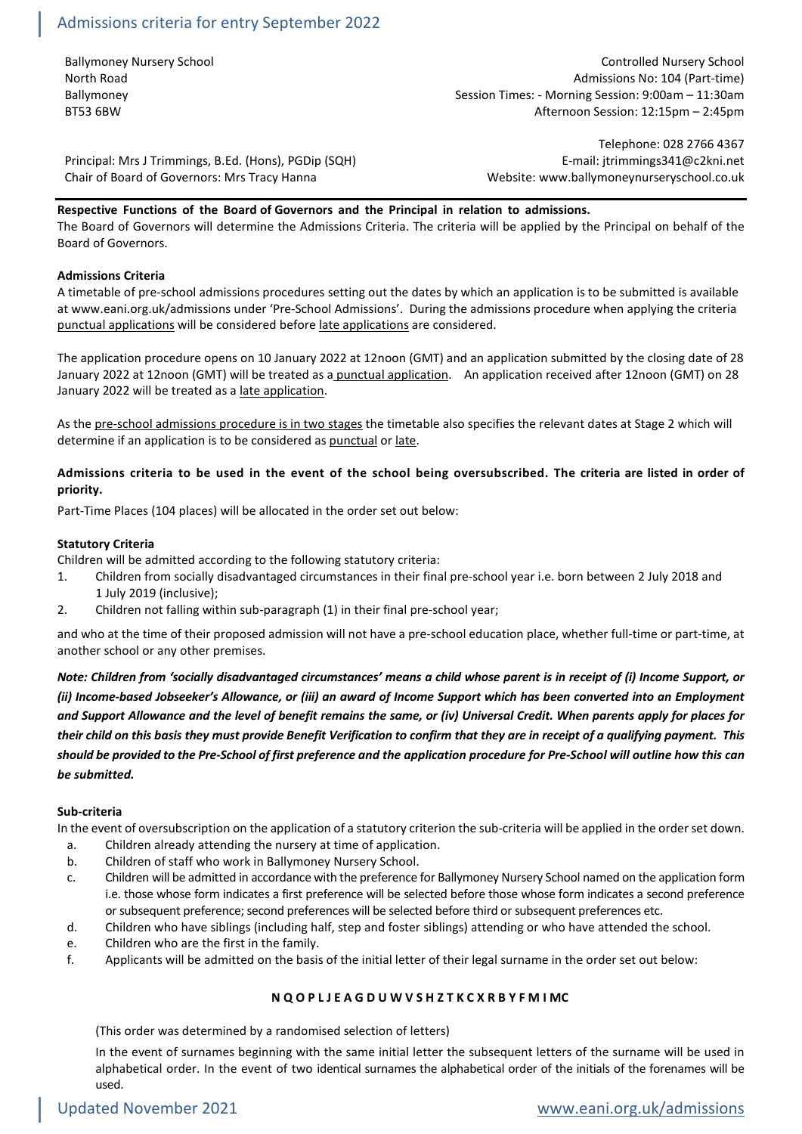# Admissions criteria for entry September 2022

Ballymoney Nursery School Controlled Nursery School North Road Admissions No: 104 (Part-time) Ballymoney **Session Times: - Morning Session: 9:00am – 11:30am** – 12:30am BT53 6BW Afternoon Session: 12:15pm – 2:45pm

Principal: Mrs J Trimmings, B.Ed. (Hons), PGDip (SQH) E-mail: jtrimmings341@c2kni.net Chair of Board of Governors: Mrs Tracy Hanna Website: www.ballymoneynurseryschool.co.uk

Telephone: 028 2766 4367

# **Respective Functions of the Board of Governors and the Principal in relation to admissions.**

The Board of Governors will determine the Admissions Criteria. The criteria will be applied by the Principal on behalf of the Board of Governors.

#### **Admissions Criteria**

A timetable of pre-school admissions procedures setting out the dates by which an application is to be submitted is available at www.eani.org.uk/admissions under 'Pre-School Admissions'. During the admissions procedure when applying the criteria punctual applications will be considered before late applications are considered.

The application procedure opens on 10 January 2022 at 12noon (GMT) and an application submitted by the closing date of 28 January 2022 at 12noon (GMT) will be treated as a punctual application. An application received after 12noon (GMT) on 28 January 2022 will be treated as a late application.

As the pre-school admissions procedure is in two stages the timetable also specifies the relevant dates at Stage 2 which will determine if an application is to be considered as punctual or late.

# **Admissions criteria to be used in the event of the school being oversubscribed. The criteria are listed in order of priority.**

Part-Time Places (104 places) will be allocated in the order set out below:

#### **Statutory Criteria**

Children will be admitted according to the following statutory criteria:

- 1. Children from socially disadvantaged circumstances in their final pre-school year i.e. born between 2 July 2018 and 1 July 2019 (inclusive);
- 2. Children not falling within sub-paragraph (1) in their final pre-school year;

and who at the time of their proposed admission will not have a pre-school education place, whether full-time or part-time, at another school or any other premises.

*Note: Children from 'socially disadvantaged circumstances' means a child whose parent is in receipt of (i) Income Support, or (ii) Income-based Jobseeker's Allowance, or (iii) an award of Income Support which has been converted into an Employment and Support Allowance and the level of benefit remains the same, or (iv) Universal Credit. When parents apply for places for their child on this basis they must provide Benefit Verification to confirm that they are in receipt of a qualifying payment. This should be provided to the Pre-School of first preference and the application procedure for Pre-School will outline how this can be submitted.*

# **Sub-criteria**

In the event of oversubscription on the application of a statutory criterion the sub-criteria will be applied in the order set down.

- a. Children already attending the nursery at time of application.
- b. Children of staff who work in Ballymoney Nursery School.
- c. Children will be admitted in accordance with the preference for Ballymoney Nursery School named on the application form i.e. those whose form indicates a first preference will be selected before those whose form indicates a second preference or subsequent preference; second preferences will be selected before third or subsequent preferences etc.
- d. Children who have siblings (including half, step and foster siblings) attending or who have attended the school.
- e. Children who are the first in the family.
- f. Applicants will be admitted on the basis of the initial letter of their legal surname in the order set out below:

# **N Q O P L J E A G D U W V S H Z T K C X R B Y F M I MC**

(This order was determined by a randomised selection of letters)

In the event of surnames beginning with the same initial letter the subsequent letters of the surname will be used in alphabetical order. In the event of two identical surnames the alphabetical order of the initials of the forenames will be used.